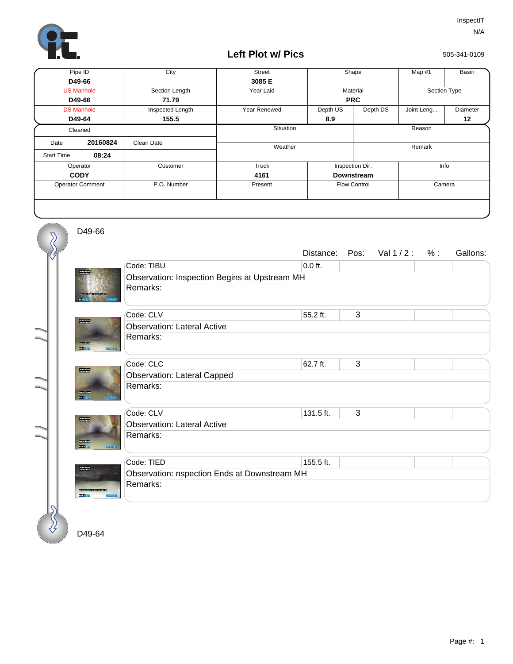

## **Left Plot w/ Pics**

505-341-0109

| Pipe ID                 |          | City             | <b>Street</b> | Shape               |          | Map #1       | <b>Basin</b> |  |
|-------------------------|----------|------------------|---------------|---------------------|----------|--------------|--------------|--|
| D49-66                  |          |                  | 3085 E        |                     |          |              |              |  |
| <b>US Manhole</b>       |          | Section Length   | Year Laid     | Material            |          | Section Type |              |  |
| D49-66                  |          | 71.79            |               | <b>PRC</b>          |          |              |              |  |
| <b>DS Manhole</b>       |          | Inspected Length | Year Renewed  | Depth US            | Depth DS | Joint Leng   | Diameter     |  |
| D49-64                  |          | 155.5            |               | 8.9                 |          |              | 12           |  |
| Cleaned                 |          |                  | Situation     |                     |          | Reason       |              |  |
| Date                    | 20160824 | Clean Date       |               |                     |          |              |              |  |
|                         |          |                  |               | Weather             |          | Remark       |              |  |
| <b>Start Time</b>       | 08:24    |                  |               |                     |          |              |              |  |
| Operator                |          | Customer         | Truck         | Inspection Dir.     |          | Info         |              |  |
| <b>CODY</b>             |          |                  | 4161          | <b>Downstream</b>   |          |              |              |  |
| <b>Operator Comment</b> |          | P.O. Number      | Present       | <b>Flow Control</b> |          | Camera       |              |  |
|                         |          |                  |               |                     |          |              |              |  |
|                         |          |                  |               |                     |          |              |              |  |
|                         |          |                  |               |                     |          |              |              |  |

D49-66

 $\overline{\mathcal{S}}$ 

|                                             |                                               | Distance: | Pos: | Val 1/2: | % : | Gallons: |  |  |  |
|---------------------------------------------|-----------------------------------------------|-----------|------|----------|-----|----------|--|--|--|
|                                             | Code: TIBU                                    | $0.0$ ft. |      |          |     |          |  |  |  |
|                                             | Observation: Inspection Begins at Upstream MH |           |      |          |     |          |  |  |  |
|                                             | Remarks:                                      |           |      |          |     |          |  |  |  |
| <b>THE REAL</b>                             | Code: CLV                                     | 55.2 ft.  | 3    |          |     |          |  |  |  |
|                                             | <b>Observation: Lateral Active</b>            |           |      |          |     |          |  |  |  |
| <b>Contacts</b>                             | Remarks:                                      |           |      |          |     |          |  |  |  |
| <b>BELLION</b><br>149005501                 |                                               |           |      |          |     |          |  |  |  |
|                                             | Code: CLC                                     | 62.7 ft.  | 3    |          |     |          |  |  |  |
| <b>TANKING</b>                              | <b>Observation: Lateral Capped</b>            |           |      |          |     |          |  |  |  |
| <b>Control Control</b><br><b>STATISTICS</b> | Remarks:                                      |           |      |          |     |          |  |  |  |
|                                             | Code: CLV                                     | 131.5 ft. | 3    |          |     |          |  |  |  |
|                                             | <b>Observation: Lateral Active</b>            |           |      |          |     |          |  |  |  |
| <b>Contractor</b><br><b>DESCRIPTION</b>     | Remarks:                                      |           |      |          |     |          |  |  |  |
|                                             | Code: TIED                                    | 155.5 ft. |      |          |     |          |  |  |  |
| USVADDI141<br>0EN:4DD1361                   | Observation: nspection Ends at Downstream MH  |           |      |          |     |          |  |  |  |
| 1411 03 10                                  | Remarks:                                      |           |      |          |     |          |  |  |  |
|                                             |                                               |           |      |          |     |          |  |  |  |

D49-64

∛